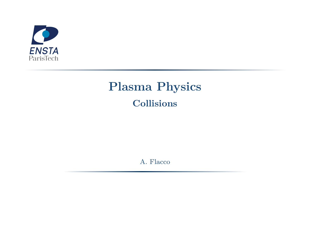

# **Plasma Physics Collisions**

A. Flacco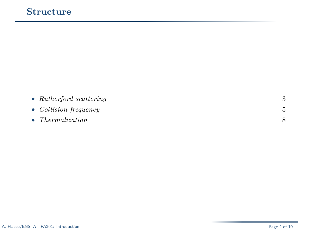|  | • Rutherford scattering |  |
|--|-------------------------|--|
|--|-------------------------|--|

### • *Collision frequency* 5

#### • *Thermalization* 8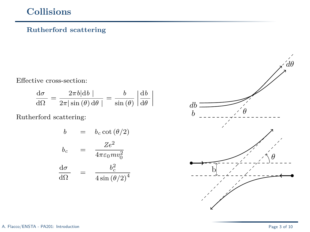#### **Rutherford scattering**

Effective cross-section:

$$
\frac{\mathrm{d}\sigma}{\mathrm{d}\Omega} = \frac{2\pi b|\mathrm{d}b|}{2\pi|\sin(\theta)\,\mathrm{d}\theta|} = \frac{b}{\sin(\theta)}\left|\frac{\mathrm{d}b}{\mathrm{d}\theta}\right|
$$

Rutherford scattering:

$$
b = b_c \cot(\theta/2)
$$
  
\n
$$
b_c = \frac{Ze^2}{4\pi\varepsilon_0 m v_0^2}
$$
  
\n
$$
\frac{d\sigma}{d\Omega} = \frac{b_c^2}{4\sin(\theta/2)^4}
$$

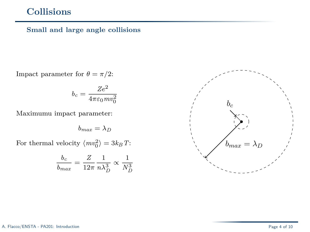#### **Small and large angle collisions**

Impact parameter for  $\theta = \pi/2$ :

$$
b_c = \frac{Ze^2}{4\pi\varepsilon_0mv_0^2}
$$

Maximumu impact parameter:

$$
b_{max} = \lambda_D
$$

For thermal velocity  $\langle mv_0^2 \rangle = 3k_B T$ :

$$
\frac{b_c}{b_{max}} = \frac{Z}{12\pi} \frac{1}{n\lambda_D^3} \propto \frac{1}{N_D^3}
$$

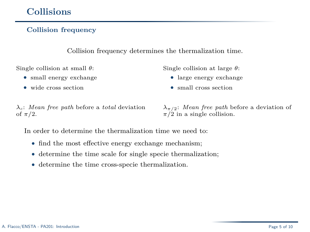#### **Collision frequency**

Collision frequency determines the thermalization time.

Single collision at small *θ*:

- small energy exchange
- wide cross section

Single collision at large *θ*:

- large energy exchange
- small cross section

*λc*: *Mean free path* before a *total* deviation of *π/*2.

*λπ/*2: *Mean free path* before a deviation of  $\pi/2$  in a single collision.

In order to determine the thermalization time we need to:

- find the most effective energy exchange mechanism;
- determine the time scale for single specie thermalization;
- determine the time cross-specie thermalization.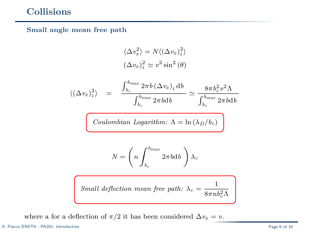#### **Small angle mean free path**

$$
\langle \Delta v_x^2 \rangle = N \langle (\Delta v_x)_i^2 \rangle
$$
  

$$
(\Delta v_x)_i^2 \simeq v^2 \sin^2(\theta)
$$

$$
\langle (\Delta v_x)_i^2 \rangle = \frac{\int_{b_c}^{b_{max}} 2\pi b \, (\Delta v_x)_i \, \mathrm{d}b}{\int_{b_c}^{b_{max}} 2\pi b \mathrm{d}b} \simeq \frac{8\pi b_c^2 v^2 \Lambda}{\int_{b_c}^{b_{max}} 2\pi b \mathrm{d}b}
$$

$$
Coulombian\ Logarithm\colon \Lambda=\ln\left(\lambda_D/b_c\right)
$$

$$
N=\left(n\int_{b_c}^{b_{max}}2\pi b\mathrm{d}b\;\right)\lambda_c
$$

$$
Small~deflection~mean~free~path:~\lambda_c=\frac{1}{8\pi n b_c^2\Lambda}
$$

where a for a deflection of  $\pi/2$  it has been considered  $\Delta v_x = v$ .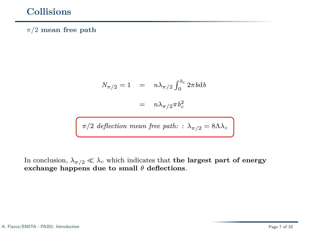#### *π/*2 **mean free path**

$$
N_{\pi/2} = 1 = n\lambda_{\pi/2} \int_0^{b_c} 2\pi b \mathrm{d}b
$$

$$
= n\lambda_{\pi/2} \pi b_c^2
$$

$$
\pi/2
$$
 deflection mean free path: :  $\lambda_{\pi/2}=8\Lambda\lambda_c$ 

In conclusion,  $\lambda_{\pi/2} \ll \lambda_c$  which indicates that **the largest part of energy exchange happens due to small** *θ* **deflections**.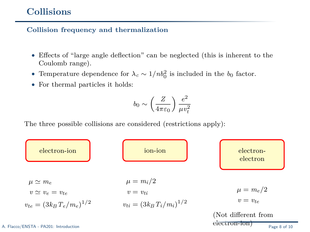**Collision frequency and thermalization**

- Effects of "large angle deflection" can be neglected (this is inherent to the Coulomb range).
- Temperature dependence for  $\lambda_c \sim 1/nb_0^2$  is included in the  $b_0$  factor.
- For thermal particles it holds:

$$
b_0 \sim \left(\frac{Z}{4\pi\varepsilon_0}\right) \frac{e^2}{\mu v_t^2}
$$

The three possible collisions are considered (restrictions apply):

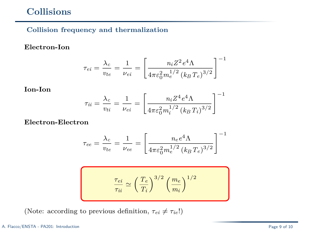#### **Collision frequency and thermalization**

#### **Electron-Ion**

$$
\tau_{ei} = \frac{\lambda_c}{v_{te}} = \frac{1}{\nu_{ei}} = \left[ \frac{n_i Z^2 e^4 \Lambda}{4\pi \varepsilon_0^2 m_e^{1/2} (k_B T_e)^{3/2}} \right]^{-1}
$$

**Ion-Ion**

$$
\tau_{ii} = \frac{\lambda_c}{v_{ti}} = \frac{1}{\nu_{ei}} = \left[ \frac{n_i Z^4 e^4 \Lambda}{4\pi \varepsilon_0^2 m_i^{1/2} (k_B T_i)^{3/2}} \right]^{-1}
$$

**Electron-Electron**

$$
\tau_{ee} = \frac{\lambda_c}{v_{te}} = \frac{1}{\nu_{ee}} = \left[ \frac{n_e e^4 \Lambda}{4\pi\varepsilon_0^2 m_e^{1/2} (k_B T_e)^{3/2}} \right]^{-1}
$$

$$
\frac{\tau_{ei}}{\tau_{ii}} \simeq \left(\frac{T_e}{T_i}\right)^{3/2} \left(\frac{m_e}{m_i}\right)^{1/2}
$$

(Note: according to previous definition,  $\tau_{ei} \neq \tau_{ie}$ !)

#### A. Flacco/ENSTA - PA201: Introduction Page 9 of 10